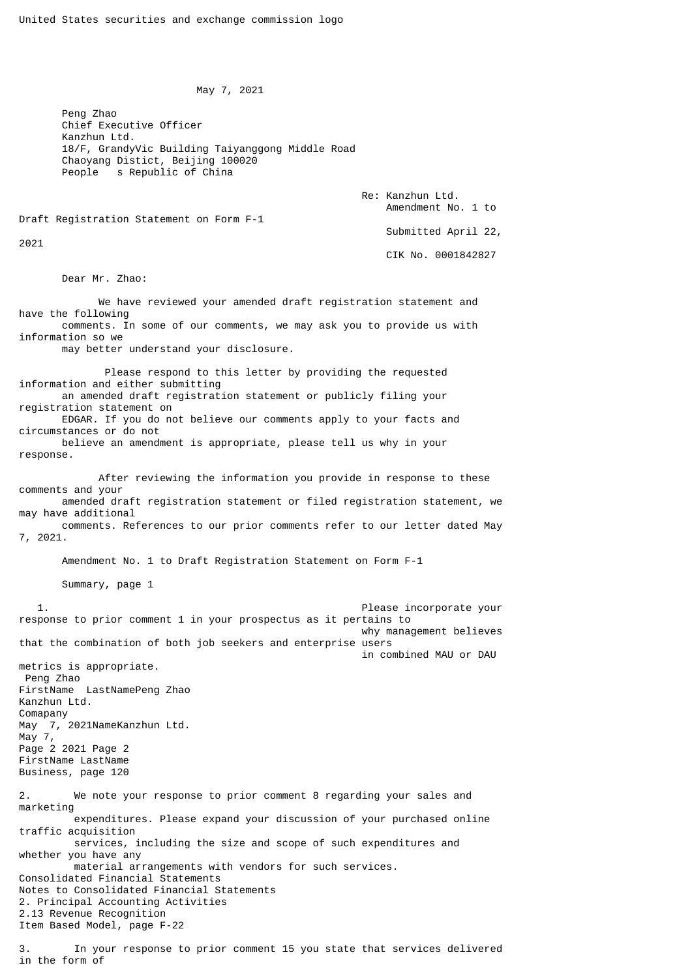May 7, 2021

 Peng Zhao Chief Executive Officer Kanzhun Ltd. 18/F, GrandyVic Building Taiyanggong Middle Road Chaoyang Distict, Beijing 100020 People s Republic of China

> Re: Kanzhun Ltd. Amendment No. 1 to

Draft Registration Statement on Form F-1

2021

Submitted April 22,

CIK No. 0001842827

Dear Mr. Zhao:

 We have reviewed your amended draft registration statement and have the following comments. In some of our comments, we may ask you to provide us with information so we

may better understand your disclosure.

 Please respond to this letter by providing the requested information and either submitting an amended draft registration statement or publicly filing your registration statement on

 EDGAR. If you do not believe our comments apply to your facts and circumstances or do not believe an amendment is appropriate, please tell us why in your

response.

 After reviewing the information you provide in response to these comments and your amended draft registration statement or filed registration statement, we

may have additional comments. References to our prior comments refer to our letter dated May 7, 2021.

Amendment No. 1 to Draft Registration Statement on Form F-1

Summary, page 1

 1. Please incorporate your response to prior comment 1 in your prospectus as it pertains to why management believes that the combination of both job seekers and enterprise users in combined MAU or DAU metrics is appropriate. Peng Zhao FirstName LastNamePeng Zhao Kanzhun Ltd. Comapany May 7, 2021NameKanzhun Ltd. May 7, Page 2 2021 Page 2 FirstName LastName Business, page 120 2. We note your response to prior comment 8 regarding your sales and marketing expenditures. Please expand your discussion of your purchased online traffic acquisition services, including the size and scope of such expenditures and whether you have any material arrangements with vendors for such services. Consolidated Financial Statements Notes to Consolidated Financial Statements 2. Principal Accounting Activities 2.13 Revenue Recognition Item Based Model, page F-22

3. In your response to prior comment 15 you state that services delivered in the form of